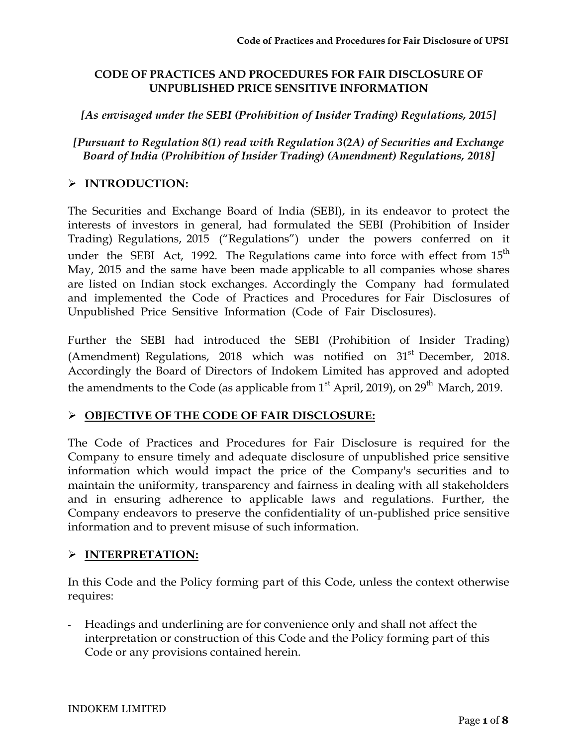## **CODE OF PRACTICES AND PROCEDURES FOR FAIR DISCLOSURE OF UNPUBLISHED PRICE SENSITIVE INFORMATION**

## *[As envisaged under the SEBI (Prohibition of Insider Trading) Regulations, 2015]*

*[Pursuant to Regulation 8(1) read with Regulation 3(2A) of Securities and Exchange Board of India (Prohibition of Insider Trading) (Amendment) Regulations, 2018]*

# **INTRODUCTION:**

The Securities and Exchange Board of India (SEBI), in its endeavor to protect the interests of investors in general, had formulated the SEBI (Prohibition of Insider Trading) Regulations, 2015 ("Regulations") under the powers conferred on it under the SEBI Act, 1992. The Regulations came into force with effect from  $15<sup>th</sup>$ May, 2015 and the same have been made applicable to all companies whose shares are listed on Indian stock exchanges. Accordingly the Company had formulated and implemented the Code of Practices and Procedures for Fair Disclosures of Unpublished Price Sensitive Information (Code of Fair Disclosures).

Further the SEBI had introduced the SEBI (Prohibition of Insider Trading) (Amendment) Regulations, 2018 which was notified on  $31<sup>st</sup>$  December, 2018. Accordingly the Board of Directors of Indokem Limited has approved and adopted the amendments to the Code (as applicable from  $1<sup>st</sup>$  April, 2019), on 29<sup>th</sup> March, 2019.

# **OBJECTIVE OF THE CODE OF FAIR DISCLOSURE:**

The Code of Practices and Procedures for Fair Disclosure is required for the Company to ensure timely and adequate disclosure of unpublished price sensitive information which would impact the price of the Company's securities and to maintain the uniformity, transparency and fairness in dealing with all stakeholders and in ensuring adherence to applicable laws and regulations. Further, the Company endeavors to preserve the confidentiality of un-published price sensitive information and to prevent misuse of such information.

# **INTERPRETATION:**

In this Code and the Policy forming part of this Code, unless the context otherwise requires:

- Headings and underlining are for convenience only and shall not affect the interpretation or construction of this Code and the Policy forming part of this Code or any provisions contained herein.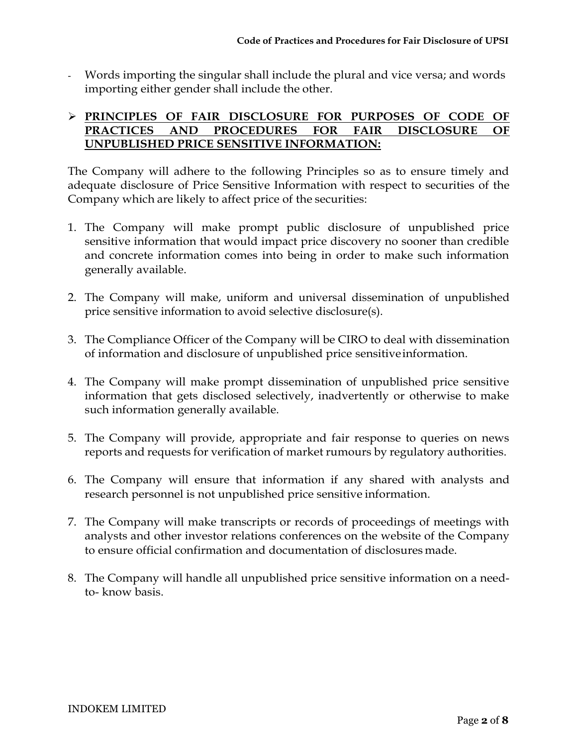- Words importing the singular shall include the plural and vice versa; and words importing either gender shall include the other.

### **PRINCIPLES OF FAIR DISCLOSURE FOR PURPOSES OF CODE OF PRACTICES AND PROCEDURES FOR FAIR DISCLOSURE OF UNPUBLISHED PRICE SENSITIVE INFORMATION:**

The Company will adhere to the following Principles so as to ensure timely and adequate disclosure of Price Sensitive Information with respect to securities of the Company which are likely to affect price of the securities:

- 1. The Company will make prompt public disclosure of unpublished price sensitive information that would impact price discovery no sooner than credible and concrete information comes into being in order to make such information generally available.
- 2. The Company will make, uniform and universal dissemination of unpublished price sensitive information to avoid selective disclosure(s).
- 3. The Compliance Officer of the Company will be CIRO to deal with dissemination of information and disclosure of unpublished price sensitiveinformation.
- 4. The Company will make prompt dissemination of unpublished price sensitive information that gets disclosed selectively, inadvertently or otherwise to make such information generally available.
- 5. The Company will provide, appropriate and fair response to queries on news reports and requests for verification of market rumours by regulatory authorities.
- 6. The Company will ensure that information if any shared with analysts and research personnel is not unpublished price sensitive information.
- 7. The Company will make transcripts or records of proceedings of meetings with analysts and other investor relations conferences on the website of the Company to ensure official confirmation and documentation of disclosures made.
- 8. The Company will handle all unpublished price sensitive information on a needto- know basis.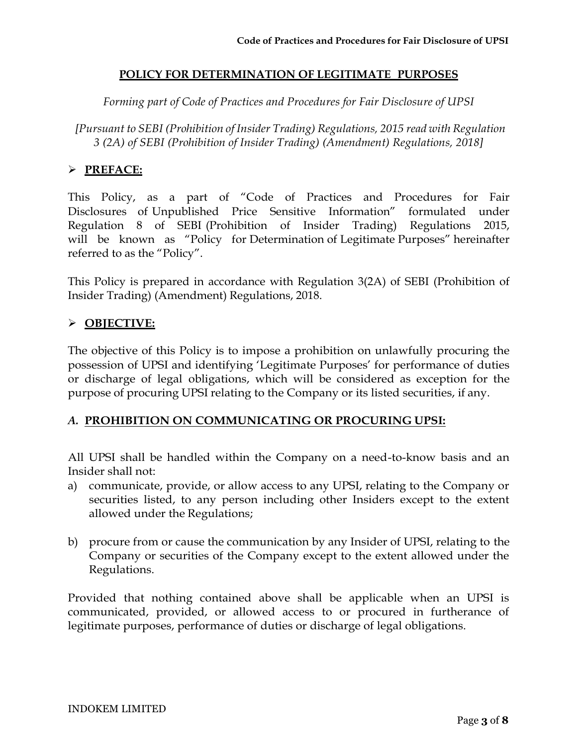#### **POLICY FOR DETERMINATION OF LEGITIMATE PURPOSES**

*Forming part of Code of Practices and Procedures for Fair Disclosure of UPSI*

*[Pursuant to SEBI (Prohibition of Insider Trading) Regulations, 2015 read with Regulation 3 (2A) of SEBI (Prohibition of Insider Trading) (Amendment) Regulations, 2018]*

## **PREFACE:**

This Policy, as a part of "Code of Practices and Procedures for Fair Disclosures of Unpublished Price Sensitive Information" formulated under Regulation 8 of SEBI (Prohibition of Insider Trading) Regulations 2015, will be known as "Policy for Determination of Legitimate Purposes" hereinafter referred to as the "Policy".

This Policy is prepared in accordance with Regulation 3(2A) of SEBI (Prohibition of Insider Trading) (Amendment) Regulations, 2018.

#### **OBJECTIVE:**

The objective of this Policy is to impose a prohibition on unlawfully procuring the possession of UPSI and identifying 'Legitimate Purposes' for performance of duties or discharge of legal obligations, which will be considered as exception for the purpose of procuring UPSI relating to the Company or its listed securities, if any.

#### *A.* **PROHIBITION ON COMMUNICATING OR PROCURING UPSI:**

All UPSI shall be handled within the Company on a need-to-know basis and an Insider shall not:

- a) communicate, provide, or allow access to any UPSI, relating to the Company or securities listed, to any person including other Insiders except to the extent allowed under the Regulations;
- b) procure from or cause the communication by any Insider of UPSI, relating to the Company or securities of the Company except to the extent allowed under the Regulations.

Provided that nothing contained above shall be applicable when an UPSI is communicated, provided, or allowed access to or procured in furtherance of legitimate purposes, performance of duties or discharge of legal obligations.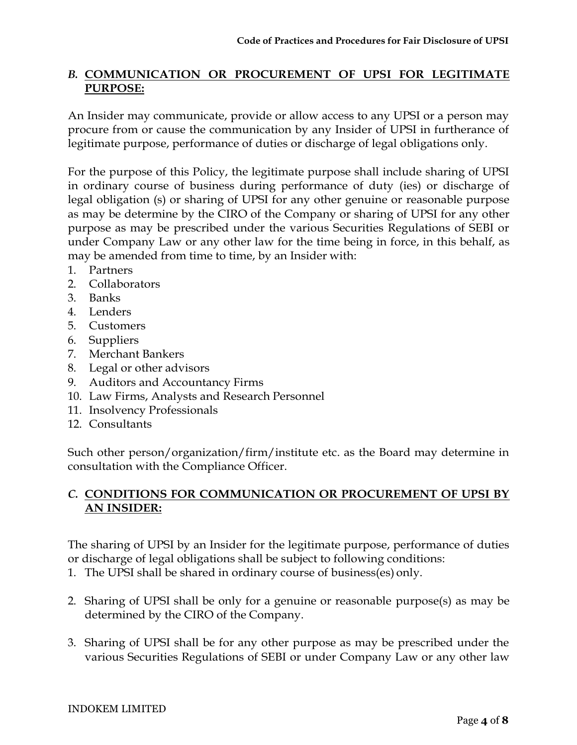## *B.* **COMMUNICATION OR PROCUREMENT OF UPSI FOR LEGITIMATE PURPOSE:**

An Insider may communicate, provide or allow access to any UPSI or a person may procure from or cause the communication by any Insider of UPSI in furtherance of legitimate purpose, performance of duties or discharge of legal obligations only.

For the purpose of this Policy, the legitimate purpose shall include sharing of UPSI in ordinary course of business during performance of duty (ies) or discharge of legal obligation (s) or sharing of UPSI for any other genuine or reasonable purpose as may be determine by the CIRO of the Company or sharing of UPSI for any other purpose as may be prescribed under the various Securities Regulations of SEBI or under Company Law or any other law for the time being in force, in this behalf, as may be amended from time to time, by an Insider with:

- 1. Partners
- 2. Collaborators
- 3. Banks
- 4. Lenders
- 5. Customers
- 6. Suppliers
- 7. Merchant Bankers
- 8. Legal or other advisors
- 9. Auditors and Accountancy Firms
- 10. Law Firms, Analysts and Research Personnel
- 11. Insolvency Professionals
- 12. Consultants

Such other person/organization/firm/institute etc. as the Board may determine in consultation with the Compliance Officer.

## *C.* **CONDITIONS FOR COMMUNICATION OR PROCUREMENT OF UPSI BY AN INSIDER:**

The sharing of UPSI by an Insider for the legitimate purpose, performance of duties or discharge of legal obligations shall be subject to following conditions:

- 1. The UPSI shall be shared in ordinary course of business(es) only.
- 2. Sharing of UPSI shall be only for a genuine or reasonable purpose(s) as may be determined by the CIRO of the Company.
- 3. Sharing of UPSI shall be for any other purpose as may be prescribed under the various Securities Regulations of SEBI or under Company Law or any other law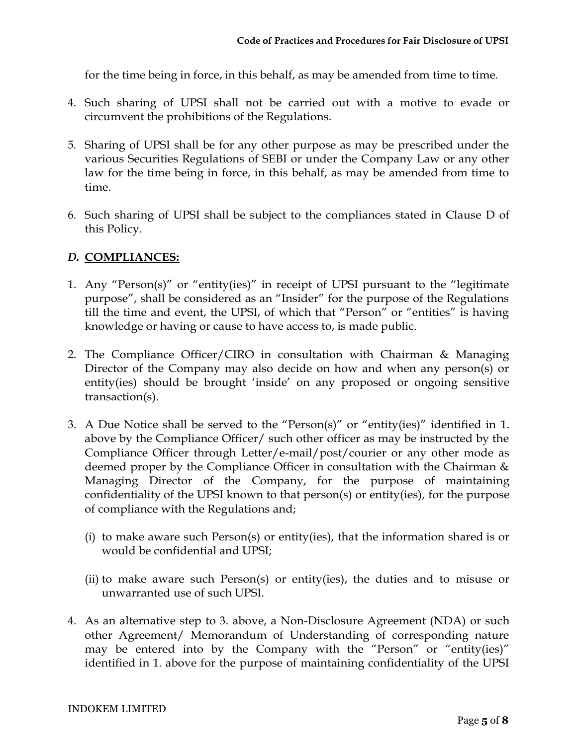for the time being in force, in this behalf, as may be amended from time to time.

- 4. Such sharing of UPSI shall not be carried out with a motive to evade or circumvent the prohibitions of the Regulations.
- 5. Sharing of UPSI shall be for any other purpose as may be prescribed under the various Securities Regulations of SEBI or under the Company Law or any other law for the time being in force, in this behalf, as may be amended from time to time.
- 6. Such sharing of UPSI shall be subject to the compliances stated in Clause D of this Policy.

# *D.* **COMPLIANCES:**

- 1. Any "Person(s)" or "entity(ies)" in receipt of UPSI pursuant to the "legitimate purpose", shall be considered as an "Insider" for the purpose of the Regulations till the time and event, the UPSI, of which that "Person" or "entities" is having knowledge or having or cause to have access to, is made public.
- 2. The Compliance Officer/CIRO in consultation with Chairman & Managing Director of the Company may also decide on how and when any person(s) or entity(ies) should be brought 'inside' on any proposed or ongoing sensitive transaction(s).
- 3. A Due Notice shall be served to the "Person(s)" or "entity(ies)" identified in 1. above by the Compliance Officer/ such other officer as may be instructed by the Compliance Officer through Letter/e-mail/post/courier or any other mode as deemed proper by the Compliance Officer in consultation with the Chairman & Managing Director of the Company, for the purpose of maintaining confidentiality of the UPSI known to that person(s) or entity(ies), for the purpose of compliance with the Regulations and;
	- (i) to make aware such Person(s) or entity(ies), that the information shared is or would be confidential and UPSI;
	- (ii) to make aware such Person(s) or entity(ies), the duties and to misuse or unwarranted use of such UPSI.
- 4. As an alternative step to 3. above, a Non-Disclosure Agreement (NDA) or such other Agreement/ Memorandum of Understanding of corresponding nature may be entered into by the Company with the "Person" or "entity(ies)" identified in 1. above for the purpose of maintaining confidentiality of the UPSI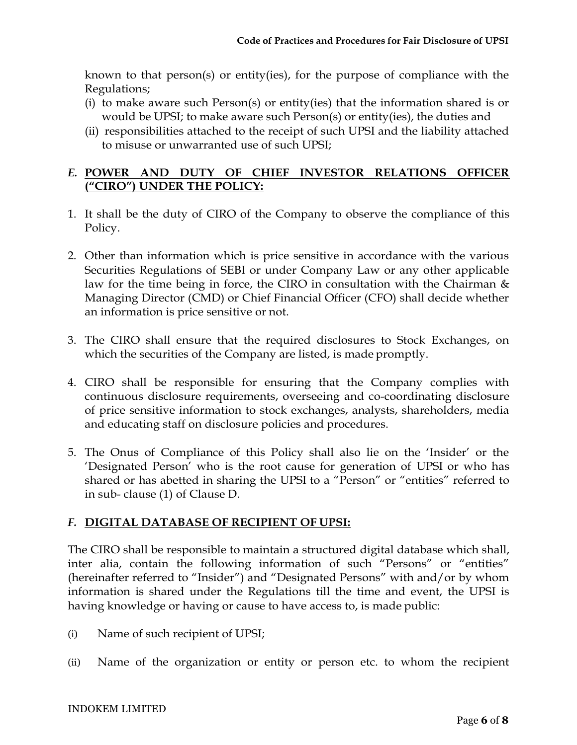known to that person(s) or entity(ies), for the purpose of compliance with the Regulations;

- (i) to make aware such Person(s) or entity(ies) that the information shared is or would be UPSI; to make aware such Person(s) or entity(ies), the duties and
- (ii) responsibilities attached to the receipt of such UPSI and the liability attached to misuse or unwarranted use of such UPSI;

# *E.* **POWER AND DUTY OF CHIEF INVESTOR RELATIONS OFFICER ("CIRO") UNDER THE POLICY:**

- 1. It shall be the duty of CIRO of the Company to observe the compliance of this Policy.
- 2. Other than information which is price sensitive in accordance with the various Securities Regulations of SEBI or under Company Law or any other applicable law for the time being in force, the CIRO in consultation with the Chairman  $\&$ Managing Director (CMD) or Chief Financial Officer (CFO) shall decide whether an information is price sensitive or not.
- 3. The CIRO shall ensure that the required disclosures to Stock Exchanges, on which the securities of the Company are listed, is made promptly.
- 4. CIRO shall be responsible for ensuring that the Company complies with continuous disclosure requirements, overseeing and co-coordinating disclosure of price sensitive information to stock exchanges, analysts, shareholders, media and educating staff on disclosure policies and procedures.
- 5. The Onus of Compliance of this Policy shall also lie on the 'Insider' or the 'Designated Person' who is the root cause for generation of UPSI or who has shared or has abetted in sharing the UPSI to a "Person" or "entities" referred to in sub- clause (1) of Clause D.

# *F.* **DIGITAL DATABASE OF RECIPIENT OF UPSI:**

The CIRO shall be responsible to maintain a structured digital database which shall, inter alia, contain the following information of such "Persons" or "entities" (hereinafter referred to "Insider") and "Designated Persons" with and/or by whom information is shared under the Regulations till the time and event, the UPSI is having knowledge or having or cause to have access to, is made public:

- (i) Name of such recipient of UPSI;
- (ii) Name of the organization or entity or person etc. to whom the recipient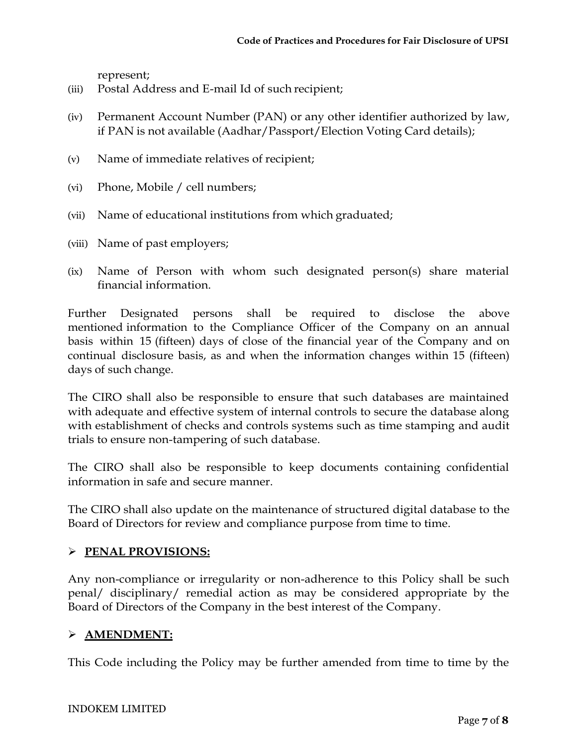represent;

- (iii) Postal Address and E-mail Id of such recipient;
- (iv) Permanent Account Number (PAN) or any other identifier authorized by law, if PAN is not available (Aadhar/Passport/Election Voting Card details);
- (v) Name of immediate relatives of recipient;
- (vi) Phone, Mobile / cell numbers;
- (vii) Name of educational institutions from which graduated;
- (viii) Name of past employers;
- (ix) Name of Person with whom such designated person(s) share material financial information.

Further Designated persons shall be required to disclose the above mentioned information to the Compliance Officer of the Company on an annual basis within 15 (fifteen) days of close of the financial year of the Company and on continual disclosure basis, as and when the information changes within 15 (fifteen) days of such change.

The CIRO shall also be responsible to ensure that such databases are maintained with adequate and effective system of internal controls to secure the database along with establishment of checks and controls systems such as time stamping and audit trials to ensure non-tampering of such database.

The CIRO shall also be responsible to keep documents containing confidential information in safe and secure manner.

The CIRO shall also update on the maintenance of structured digital database to the Board of Directors for review and compliance purpose from time to time.

# **PENAL PROVISIONS:**

Any non-compliance or irregularity or non-adherence to this Policy shall be such penal/ disciplinary/ remedial action as may be considered appropriate by the Board of Directors of the Company in the best interest of the Company.

#### **AMENDMENT:**

This Code including the Policy may be further amended from time to time by the